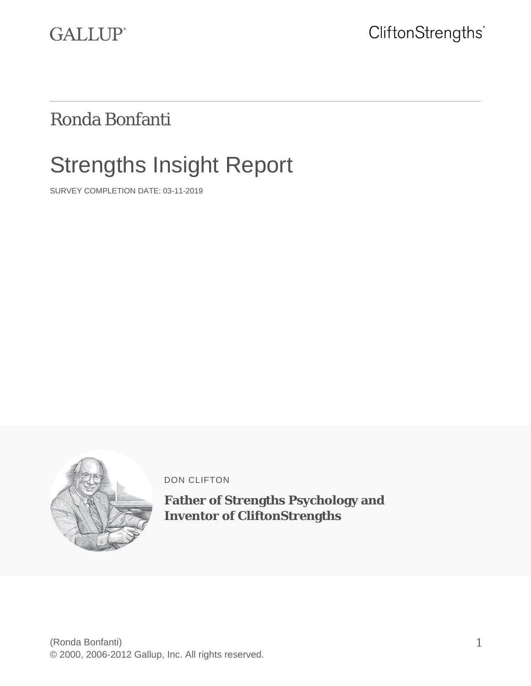

# Ronda Bonfanti

# Strengths Insight Report

SURVEY COMPLETION DATE: 03-11-2019



DON CLIFTON

**Father of Strengths Psychology and Inventor of CliftonStrengths**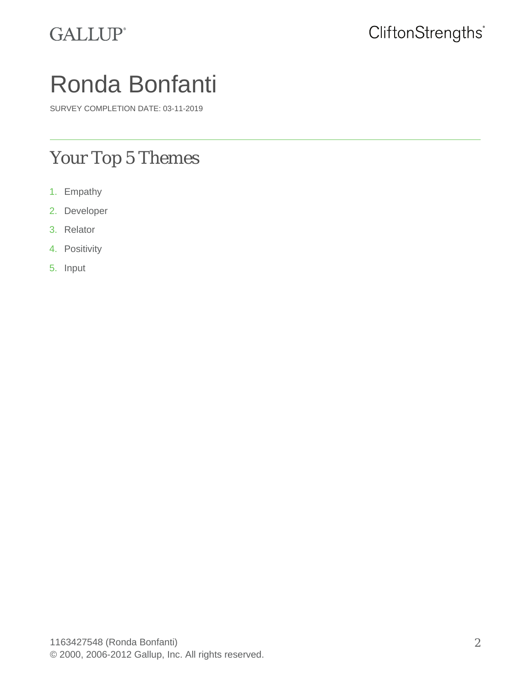

# Ronda Bonfanti

SURVEY COMPLETION DATE: 03-11-2019

### Your Top 5 Themes

- 1. Empathy
- 2. Developer
- 3. Relator
- 4. Positivity
- 5. Input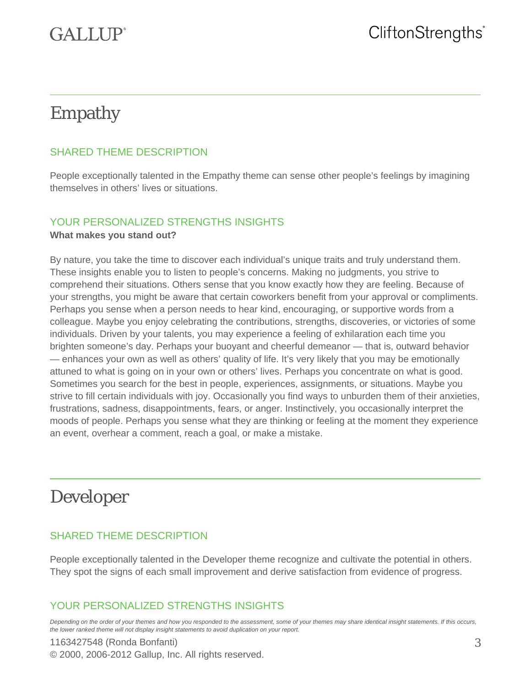# $GATJIP<sup>°</sup>$

# Empathy

### SHARED THEME DESCRIPTION

People exceptionally talented in the Empathy theme can sense other people's feelings by imagining themselves in others' lives or situations.

### YOUR PERSONALIZED STRENGTHS INSIGHTS

#### **What makes you stand out?**

By nature, you take the time to discover each individual's unique traits and truly understand them. These insights enable you to listen to people's concerns. Making no judgments, you strive to comprehend their situations. Others sense that you know exactly how they are feeling. Because of your strengths, you might be aware that certain coworkers benefit from your approval or compliments. Perhaps you sense when a person needs to hear kind, encouraging, or supportive words from a colleague. Maybe you enjoy celebrating the contributions, strengths, discoveries, or victories of some individuals. Driven by your talents, you may experience a feeling of exhilaration each time you brighten someone's day. Perhaps your buoyant and cheerful demeanor — that is, outward behavior — enhances your own as well as others' quality of life. It's very likely that you may be emotionally attuned to what is going on in your own or others' lives. Perhaps you concentrate on what is good. Sometimes you search for the best in people, experiences, assignments, or situations. Maybe you strive to fill certain individuals with joy. Occasionally you find ways to unburden them of their anxieties, frustrations, sadness, disappointments, fears, or anger. Instinctively, you occasionally interpret the moods of people. Perhaps you sense what they are thinking or feeling at the moment they experience an event, overhear a comment, reach a goal, or make a mistake.

### Developer

### SHARED THEME DESCRIPTION

People exceptionally talented in the Developer theme recognize and cultivate the potential in others. They spot the signs of each small improvement and derive satisfaction from evidence of progress.

### YOUR PERSONALIZED STRENGTHS INSIGHTS

*Depending on the order of your themes and how you responded to the assessment, some of your themes may share identical insight statements. If this occurs, the lower ranked theme will not display insight statements to avoid duplication on your report.*

### 1163427548 (Ronda Bonfanti) © 2000, 2006-2012 Gallup, Inc. All rights reserved.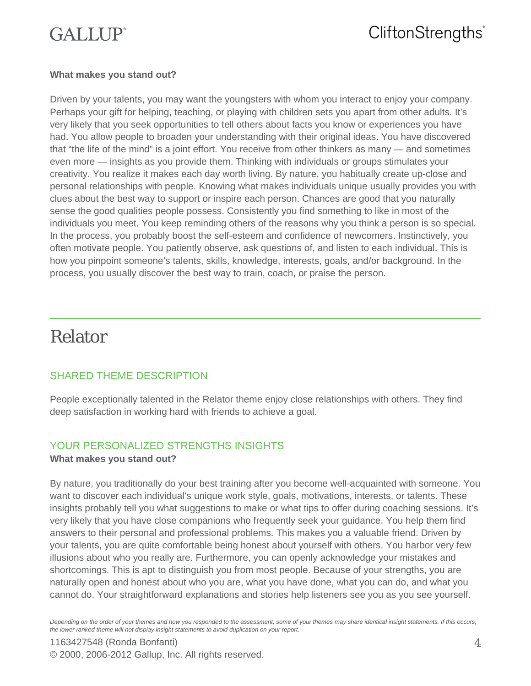# $GATJIP<sup>°</sup>$

### CliftonStrengths<sup>®</sup>

#### **What makes you stand out?**

Driven by your talents, you may want the youngsters with whom you interact to enjoy your company. Perhaps your gift for helping, teaching, or playing with children sets you apart from other adults. It's very likely that you seek opportunities to tell others about facts you know or experiences you have had. You allow people to broaden your understanding with their original ideas. You have discovered that "the life of the mind" is a joint effort. You receive from other thinkers as many — and sometimes even more — insights as you provide them. Thinking with individuals or groups stimulates your creativity. You realize it makes each day worth living. By nature, you habitually create up-close and personal relationships with people. Knowing what makes individuals unique usually provides you with clues about the best way to support or inspire each person. Chances are good that you naturally sense the good qualities people possess. Consistently you find something to like in most of the individuals you meet. You keep reminding others of the reasons why you think a person is so special. In the process, you probably boost the self-esteem and confidence of newcomers. Instinctively, you often motivate people. You patiently observe, ask questions of, and listen to each individual. This is how you pinpoint someone's talents, skills, knowledge, interests, goals, and/or background. In the process, you usually discover the best way to train, coach, or praise the person.

### Relator

### SHARED THEME DESCRIPTION

People exceptionally talented in the Relator theme enjoy close relationships with others. They find deep satisfaction in working hard with friends to achieve a goal.

#### YOUR PERSONALIZED STRENGTHS INSIGHTS **What makes you stand out?**

By nature, you traditionally do your best training after you become well-acquainted with someone. You want to discover each individual's unique work style, goals, motivations, interests, or talents. These insights probably tell you what suggestions to make or what tips to offer during coaching sessions. It's very likely that you have close companions who frequently seek your guidance. You help them find answers to their personal and professional problems. This makes you a valuable friend. Driven by your talents, you are quite comfortable being honest about yourself with others. You harbor very few illusions about who you really are. Furthermore, you can openly acknowledge your mistakes and shortcomings. This is apt to distinguish you from most people. Because of your strengths, you are naturally open and honest about who you are, what you have done, what you can do, and what you cannot do. Your straightforward explanations and stories help listeners see you as you see yourself.

*Depending on the order of your themes and how you responded to the assessment, some of your themes may share identical insight statements. If this occurs, the lower ranked theme will not display insight statements to avoid duplication on your report.*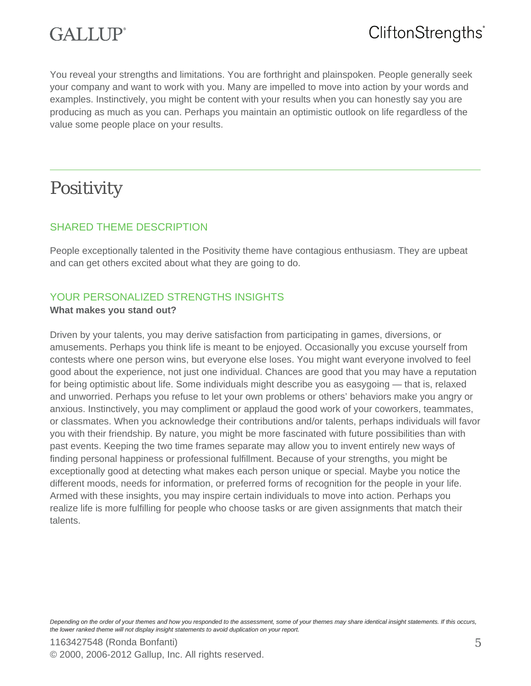

You reveal your strengths and limitations. You are forthright and plainspoken. People generally seek your company and want to work with you. Many are impelled to move into action by your words and examples. Instinctively, you might be content with your results when you can honestly say you are producing as much as you can. Perhaps you maintain an optimistic outlook on life regardless of the value some people place on your results.

### Positivity

#### SHARED THEME DESCRIPTION

People exceptionally talented in the Positivity theme have contagious enthusiasm. They are upbeat and can get others excited about what they are going to do.

### YOUR PERSONALIZED STRENGTHS INSIGHTS

#### **What makes you stand out?**

Driven by your talents, you may derive satisfaction from participating in games, diversions, or amusements. Perhaps you think life is meant to be enjoyed. Occasionally you excuse yourself from contests where one person wins, but everyone else loses. You might want everyone involved to feel good about the experience, not just one individual. Chances are good that you may have a reputation for being optimistic about life. Some individuals might describe you as easygoing — that is, relaxed and unworried. Perhaps you refuse to let your own problems or others' behaviors make you angry or anxious. Instinctively, you may compliment or applaud the good work of your coworkers, teammates, or classmates. When you acknowledge their contributions and/or talents, perhaps individuals will favor you with their friendship. By nature, you might be more fascinated with future possibilities than with past events. Keeping the two time frames separate may allow you to invent entirely new ways of finding personal happiness or professional fulfillment. Because of your strengths, you might be exceptionally good at detecting what makes each person unique or special. Maybe you notice the different moods, needs for information, or preferred forms of recognition for the people in your life. Armed with these insights, you may inspire certain individuals to move into action. Perhaps you realize life is more fulfilling for people who choose tasks or are given assignments that match their talents.

*Depending on the order of your themes and how you responded to the assessment, some of your themes may share identical insight statements. If this occurs, the lower ranked theme will not display insight statements to avoid duplication on your report.*